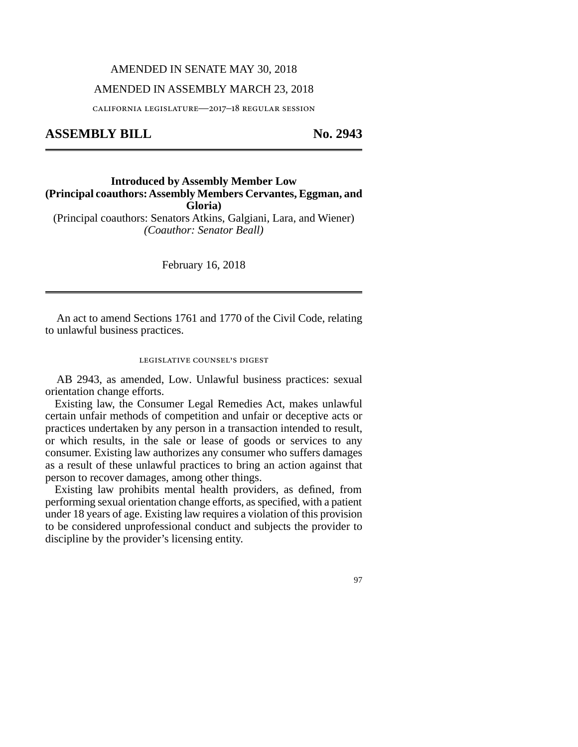## AMENDED IN SENATE MAY 30, 2018

## AMENDED IN ASSEMBLY MARCH 23, 2018

california legislature—2017–18 regular session

ASSEMBLY BILL No. 2943

**Introduced by Assembly Member Low (Principal coauthors: Assembly Members Cervantes, Eggman, and Gloria)**

(Principal coauthors: Senators Atkins, Galgiani, Lara, and Wiener) *(Coauthor: Senator Beall)*

February 16, 2018

An act to amend Sections 1761 and 1770 of the Civil Code, relating to unlawful business practices.

### legislative counsel's digest

AB 2943, as amended, Low. Unlawful business practices: sexual orientation change efforts.

Existing law, the Consumer Legal Remedies Act, makes unlawful certain unfair methods of competition and unfair or deceptive acts or practices undertaken by any person in a transaction intended to result, or which results, in the sale or lease of goods or services to any consumer. Existing law authorizes any consumer who suffers damages as a result of these unlawful practices to bring an action against that person to recover damages, among other things.

Existing law prohibits mental health providers, as defined, from performing sexual orientation change efforts, as specified, with a patient under 18 years of age. Existing law requires a violation of this provision to be considered unprofessional conduct and subjects the provider to discipline by the provider's licensing entity.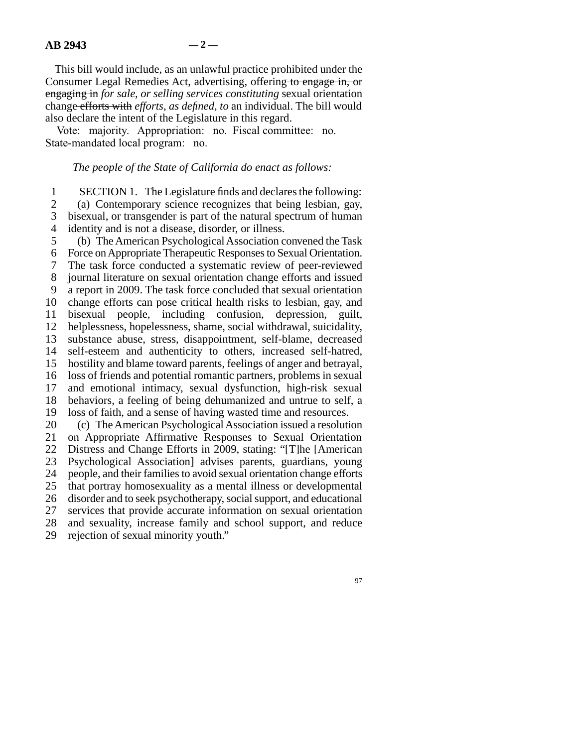$AB$  2943  $-2$ 

This bill would include, as an unlawful practice prohibited under the Consumer Legal Remedies Act, advertising, offering to engage in, or engaging in *for sale, or selling services constituting* sexual orientation change efforts with *efforts, as defined, to* an individual. The bill would also declare the intent of the Legislature in this regard.

Vote: majority. Appropriation: no. Fiscal committee: no. State-mandated local program: no.

# *The people of the State of California do enact as follows:*

1 SECTION 1. The Legislature finds and declares the following:<br>2 (a) Contemporary science recognizes that being lesbian, gay,

(a) Contemporary science recognizes that being lesbian, gay, 3 bisexual, or transgender is part of the natural spectrum of human 4 identity and is not a disease, disorder, or illness.

5 (b) The American Psychological Association convened the Task 6 Force on Appropriate Therapeutic Responses to Sexual Orientation. line 7 The task force conducted a systematic review of peer-reviewed 8 journal literature on sexual orientation change efforts and issued 9 a report in 2009. The task force concluded that sexual orientation 10 change efforts can pose critical health risks to lesbian, gay, and line 11 bisexual people, including confusion, depression, guilt, 12 helplessness, hopelessness, shame, social withdrawal, suicidality, 13 substance abuse, stress, disappointment, self-blame, decreased 14 self-esteem and authenticity to others, increased self-hatred, 15 hostility and blame toward parents, feelings of anger and betrayal, 16 loss of friends and potential romantic partners, problems in sexual 17 and emotional intimacy, sexual dysfunction, high-risk sexual 18 behaviors, a feeling of being dehumanized and untrue to self, a 19 loss of faith, and a sense of having wasted time and resources.

20 (c) The American Psychological Association issued a resolution 21 on Appropriate Affirmative Responses to Sexual Orientation 22 Distress and Change Efforts in 2009, stating: "[T]he [American] 23 Psychological Association] advises parents, guardians, young 24 people, and their families to avoid sexual orientation change efforts 25 that portray homosexuality as a mental illness or developmental 26 disorder and to seek psychotherapy, social support, and educational 27 services that provide accurate information on sexual orientation 28 and sexuality, increase family and school support, and reduce 29 rejection of sexual minority youth."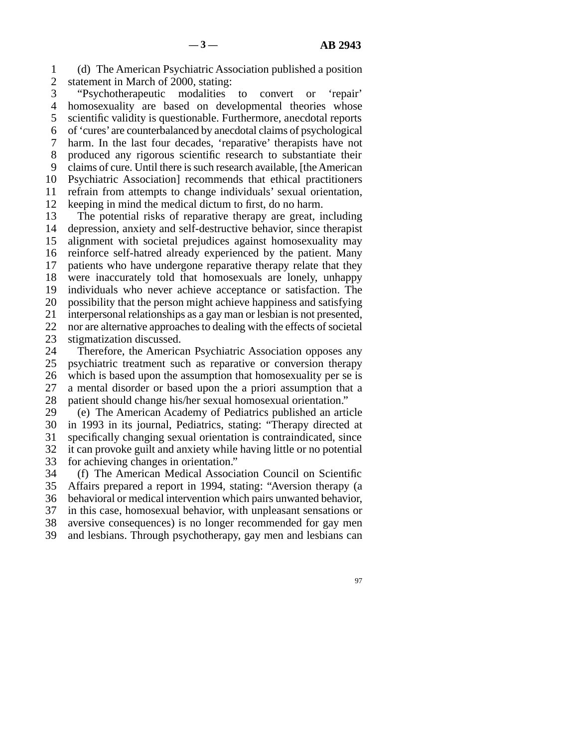line 1 (d) The American Psychiatric Association published a position 2 statement in March of 2000, stating:

 line 3 "Psychotherapeutic modalities to convert or 'repair' 4 homosexuality are based on developmental theories whose 5 scientific validity is questionable. Furthermore, anecdotal reports line 6 of 'cures' are counterbalanced by anecdotal claims of psychological 7 harm. In the last four decades, 'reparative' therapists have not 8 produced any rigorous scientific research to substantiate their 9 claims of cure. Until there is such research available, [the American 10 Psychiatric Association] recommends that ethical practitioners 11 refrain from attempts to change individuals' sexual orientation, 12 keeping in mind the medical dictum to first, do no harm.

13 The potential risks of reparative therapy are great, including 14 depression, anxiety and self-destructive behavior, since therapist 15 alignment with societal prejudices against homosexuality may 16 reinforce self-hatred already experienced by the patient. Many 17 patients who have undergone reparative therapy relate that they 18 were inaccurately told that homosexuals are lonely, unhappy 19 individuals who never achieve acceptance or satisfaction. The 20 possibility that the person might achieve happiness and satisfying 21 interpersonal relationships as a gay man or lesbian is not presented, 22 nor are alternative approaches to dealing with the effects of societal 23 stigmatization discussed.

24 Therefore, the American Psychiatric Association opposes any<br>25 psychiatric treatment such as reparative or conversion therapy psychiatric treatment such as reparative or conversion therapy 26 which is based upon the assumption that homosexuality per se is 27 a mental disorder or based upon the a priori assumption that a 28 patient should change his/her sexual homosexual orientation."

29 (e) The American Academy of Pediatrics published an article 30 in 1993 in its journal, Pediatrics, stating: "Therapy directed at 31 specifically changing sexual orientation is contraindicated, since 32 it can provoke guilt and anxiety while having little or no potential

33 for achieving changes in orientation."

34 (f) The American Medical Association Council on Scientific 35 Affairs prepared a report in 1994, stating: "Aversion therapy (a 36 behavioral or medical intervention which pairs unwanted behavior, 37 in this case, homosexual behavior, with unpleasant sensations or 38 aversive consequences) is no longer recommended for gay men 39 and lesbians. Through psychotherapy, gay men and lesbians can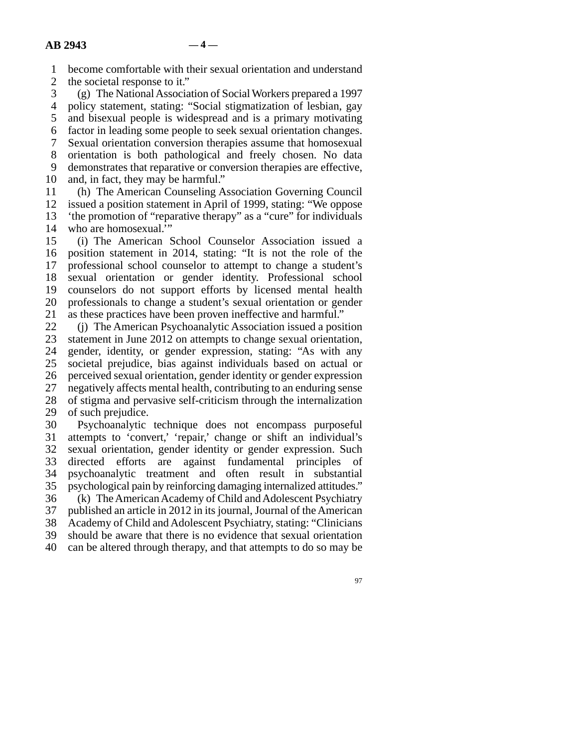1 become comfortable with their sexual orientation and understand

2 the societal response to it."<br>3 (g) The National Associa (g) The National Association of Social Workers prepared a 1997 4 policy statement, stating: "Social stigmatization of lesbian, gay

5 and bisexual people is widespread and is a primary motivating 6 factor in leading some people to seek sexual orientation changes.

7 Sexual orientation conversion therapies assume that homosexual

8 orientation is both pathological and freely chosen. No data

9 demonstrates that reparative or conversion therapies are effective,

10 and, in fact, they may be harmful."

 line 11 (h) The American Counseling Association Governing Council 12 issued a position statement in April of 1999, stating: "We oppose 13 the promotion of "reparative therapy" as a "cure" for individuals 14 who are homosexual."

15 (i) The American School Counselor Association issued a 16 position statement in 2014, stating: "It is not the role of the 17 professional school counselor to attempt to change a student's 18 sexual orientation or gender identity. Professional school 19 counselors do not support efforts by licensed mental health 20 professionals to change a student's sexual orientation or gender 21 as these practices have been proven ineffective and harmful."

22 (j) The American Psychoanalytic Association issued a position<br>23 statement in June 2012 on attempts to change sexual orientation. statement in June 2012 on attempts to change sexual orientation, 24 gender, identity, or gender expression, stating: "As with any 25 societal prejudice, bias against individuals based on actual or societal prejudice, bias against individuals based on actual or 26 perceived sexual orientation, gender identity or gender expression 27 negatively affects mental health, contributing to an enduring sense 28 of stigma and pervasive self-criticism through the internalization 29 of such prejudice.

30 Psychoanalytic technique does not encompass purposeful 31 attempts to 'convert,' 'repair,' change or shift an individual's 32 sexual orientation, gender identity or gender expression. Such 33 directed efforts are against fundamental principles of 34 psychoanalytic treatment and often result in substantial 35 psychological pain by reinforcing damaging internalized attitudes." 36 (k) The American Academy of Child and Adolescent Psychiatry 37 published an article in 2012 in its journal, Journal of the American 38 Academy of Child and Adolescent Psychiatry, stating: "Clinicians" 39 should be aware that there is no evidence that sexual orientation

40 can be altered through therapy, and that attempts to do so may be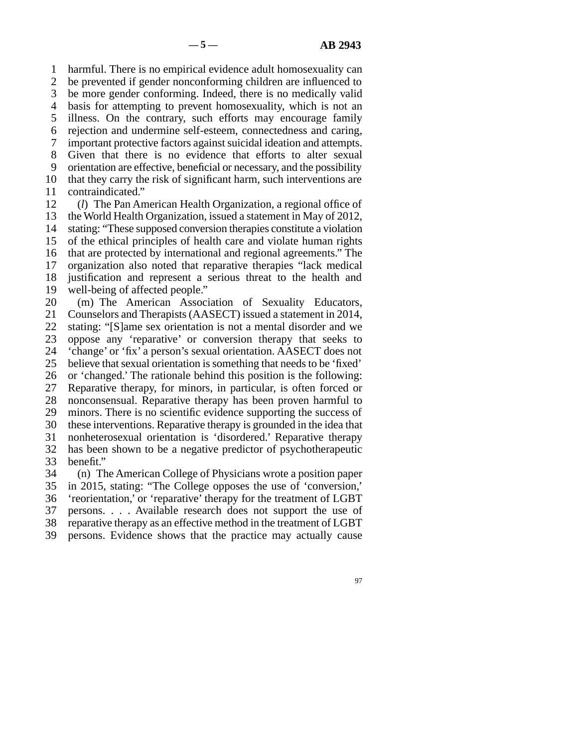1 harmful. There is no empirical evidence adult homosexuality can 2 be prevented if gender nonconforming children are influenced to 3 be more gender conforming. Indeed, there is no medically valid 4 basis for attempting to prevent homosexuality, which is not an 5 illness. On the contrary, such efforts may encourage family line 6 rejection and undermine self-esteem, connectedness and caring, line 7 important protective factors against suicidal ideation and attempts. 8 Given that there is no evidence that efforts to alter sexual 9 orientation are effective, beneficial or necessary, and the possibility 10 that they carry the risk of significant harm, such interventions are 11 contraindicated."

12 (*l*) The Pan American Health Organization, a regional office of 13 the World Health Organization, issued a statement in May of 2012, 14 stating: "These supposed conversion therapies constitute a violation 15 of the ethical principles of health care and violate human rights 16 that are protected by international and regional agreements." The 17 organization also noted that reparative therapies "lack medical 18 justification and represent a serious threat to the health and 19 well-being of affected people." 20 (m) The American Association of Sexuality Educators,

21 Counselors and Therapists (AASECT) issued a statement in 2014, 22 stating: "[S]ame sex orientation is not a mental disorder and we 23 oppose any 'reparative' or conversion therapy that seeks to 24 'change' or 'fix' a person's sexual orientation. AASECT does not<br>25 believe that sexual orientation is something that needs to be 'fixed' believe that sexual orientation is something that needs to be 'fixed' 26 or 'changed.' The rationale behind this position is the following: 27 Reparative therapy, for minors, in particular, is often forced or 28 nonconsensual. Reparative therapy has been proven harmful to 29 minors. There is no scientific evidence supporting the success of 30 these interventions. Reparative therapy is grounded in the idea that 31 nonheterosexual orientation is 'disordered.' Reparative therapy 32 has been shown to be a negative predictor of psychotherapeutic 33 benefit." 34 (n) The American College of Physicians wrote a position paper

35 in 2015, stating: "The College opposes the use of 'conversion,' 36 'reorientation,' or 'reparative' therapy for the treatment of LGBT 37 persons. . . . Available research does not support the use of 38 reparative therapy as an effective method in the treatment of LGBT

39 persons. Evidence shows that the practice may actually cause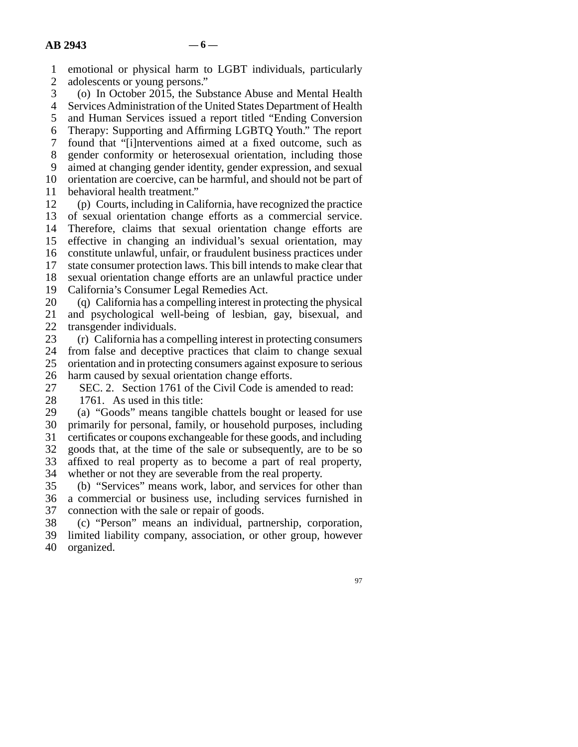1 emotional or physical harm to LGBT individuals, particularly 2 adolescents or young persons."<br>3 (o) In October 2015, the Sul

(o) In October 2015, the Substance Abuse and Mental Health 4 Services Administration of the United States Department of Health 5 and Human Services issued a report titled "Ending Conversion" 6 Therapy: Supporting and Affirming LGBTQ Youth." The report line 7 found that "[i]nterventions aimed at a fixed outcome, such as 8 gender conformity or heterosexual orientation, including those 9 aimed at changing gender identity, gender expression, and sexual 10 orientation are coercive, can be harmful, and should not be part of 11 behavioral health treatment."

12 (p) Courts, including in California, have recognized the practice 13 of sexual orientation change efforts as a commercial service. 14 Therefore, claims that sexual orientation change efforts are 15 effective in changing an individual's sexual orientation, may 16 constitute unlawful, unfair, or fraudulent business practices under 17 state consumer protection laws. This bill intends to make clear that 18 sexual orientation change efforts are an unlawful practice under 19 California's Consumer Legal Remedies Act. 20 (q) California has a compelling interest in protecting the physical

21 and psychological well-being of lesbian, gay, bisexual, and 22 transgender individuals.

23 (r) California has a compelling interest in protecting consumers

24 from false and deceptive practices that claim to change sexual 25 orientation and in protecting consumers against exposure to serious line 25 orientation and in protecting consumers against exposure to serious 26 harm caused by sexual orientation change efforts.

27 SEC. 2. Section 1761 of the Civil Code is amended to read:<br>28 1761. As used in this title:

1761. As used in this title:

29 (a) "Goods" means tangible chattels bought or leased for use 30 primarily for personal, family, or household purposes, including

31 certificates or coupons exchangeable for these goods, and including

line 32 goods that, at the time of the sale or subsequently, are to be so

33 affixed to real property as to become a part of real property,

34 whether or not they are severable from the real property.

35 (b) "Services" means work, labor, and services for other than 36 a commercial or business use, including services furnished in 37 connection with the sale or repair of goods.

line 38 (c) "Person" means an individual, partnership, corporation,

39 limited liability company, association, or other group, however 40 organized.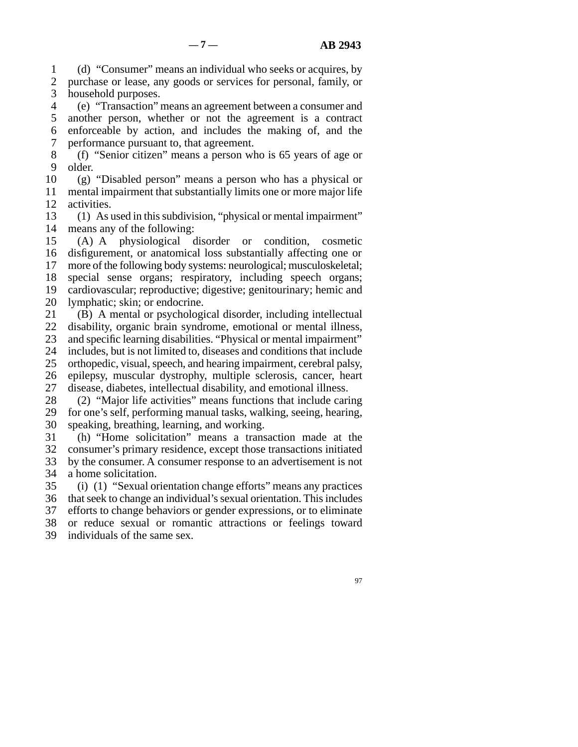line 1 (d) "Consumer" means an individual who seeks or acquires, by 2 purchase or lease, any goods or services for personal, family, or 3 household purposes.

 line 4 (e) "Transaction" means an agreement between a consumer and 5 another person, whether or not the agreement is a contract line 6 enforceable by action, and includes the making of, and the 7 performance pursuant to, that agreement.

8 (f) "Senior citizen" means a person who is 65 years of age or 9 older.

10 (g) "Disabled person" means a person who has a physical or 11 mental impairment that substantially limits one or more major life 12 activities.

13 (1) As used in this subdivision, "physical or mental impairment" 14 means any of the following:

15 (A) A physiological disorder or condition, cosmetic 16 disfigurement, or anatomical loss substantially affecting one or 17 more of the following body systems: neurological; musculoskeletal; 18 special sense organs; respiratory, including speech organs; 19 cardiovascular; reproductive; digestive; genitourinary; hemic and 20 lymphatic; skin; or endocrine.

- 21 (B) A mental or psychological disorder, including intellectual 22 disability, organic brain syndrome, emotional or mental illness, 23 and specific learning disabilities. "Physical or mental impairment" 24 includes, but is not limited to, diseases and conditions that include<br>25 orthopedic, visual, speech, and hearing impairment, cerebral palsy,
- orthopedic, visual, speech, and hearing impairment, cerebral palsy,

26 epilepsy, muscular dystrophy, multiple sclerosis, cancer, heart 27 disease, diabetes, intellectual disability, and emotional illness.

28 (2) "Major life activities" means functions that include caring 29 for one's self, performing manual tasks, walking, seeing, hearing, 30 speaking, breathing, learning, and working.

31 (h) "Home solicitation" means a transaction made at the 32 consumer's primary residence, except those transactions initiated 33 by the consumer. A consumer response to an advertisement is not

34 a home solicitation.

35 (i) (1) "Sexual orientation change efforts" means any practices 36 that seek to change an individual's sexual orientation. This includes 37 efforts to change behaviors or gender expressions, or to eliminate 38 or reduce sexual or romantic attractions or feelings toward 39 individuals of the same sex.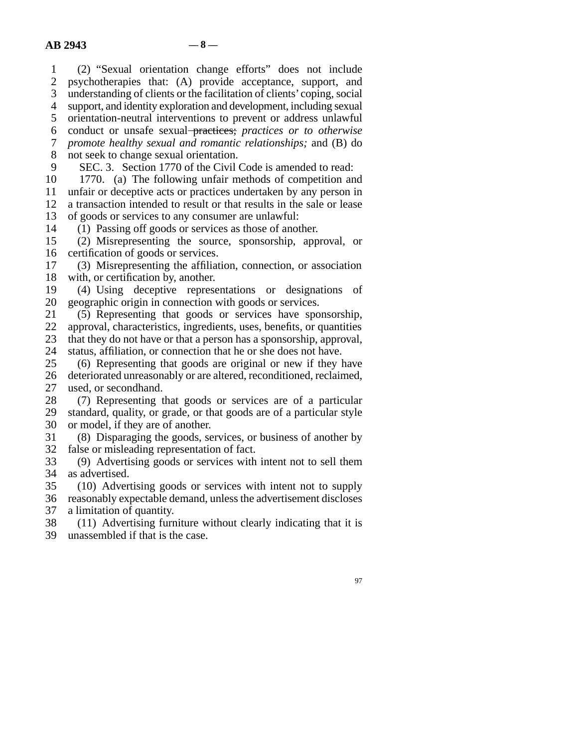line 1 (2) "Sexual orientation change efforts" does not include 2 psychotherapies that: (A) provide acceptance, support, and<br>3 understanding of clients or the facilitation of clients' coping, social understanding of clients or the facilitation of clients' coping, social 4 support, and identity exploration and development, including sexual 5 orientation-neutral interventions to prevent or address unlawful line 6 conduct or unsafe sexual practices; *practices or to otherwise* line 7 *promote healthy sexual and romantic relationships;* and (B) do 8 not seek to change sexual orientation. 9 SEC. 3. Section 1770 of the Civil Code is amended to read: 10 1770. (a) The following unfair methods of competition and

11 unfair or deceptive acts or practices undertaken by any person in 12 a transaction intended to result or that results in the sale or lease 13 of goods or services to any consumer are unlawful:

14 (1) Passing off goods or services as those of another.

15 (2) Misrepresenting the source, sponsorship, approval, or 16 certification of goods or services.

 $17$  (3) Misrepresenting the affiliation, connection, or association 18 with, or certification by, another.

19 (4) Using deceptive representations or designations of 20 geographic origin in connection with goods or services.

21 (5) Representing that goods or services have sponsorship, 22 approval, characteristics, ingredients, uses, benefits, or quantities 23 that they do not have or that a person has a sponsorship, approval,

24 status, affiliation, or connection that he or she does not have.<br>25 (6) Representing that goods are original or new if they  $\lambda$  (6) Representing that goods are original or new if they have 26 deteriorated unreasonably or are altered, reconditioned, reclaimed, 27 used, or secondhand.

28 (7) Representing that goods or services are of a particular 29 standard, quality, or grade, or that goods are of a particular style 30 or model, if they are of another.

 line 31 (8) Disparaging the goods, services, or business of another by 32 false or misleading representation of fact.<br>33 (9) Advertising goods or services with

(9) Advertising goods or services with intent not to sell them 34 as advertised.

35 (10) Advertising goods or services with intent not to supply 36 reasonably expectable demand, unless the advertisement discloses 37 a limitation of quantity.

38 (11) Advertising furniture without clearly indicating that it is 39 unassembled if that is the case.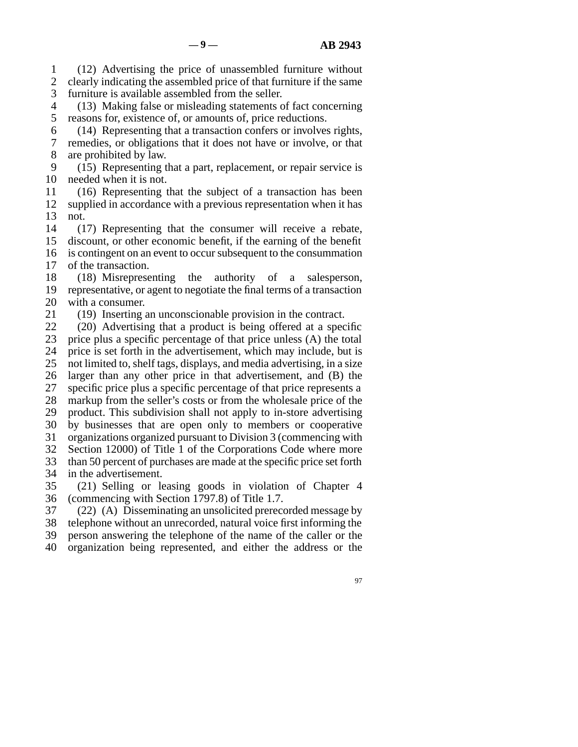1 (12) Advertising the price of unassembled furniture without 2 clearly indicating the assembled price of that furniture if the same 3 furniture is available assembled from the seller.

4 (13) Making false or misleading statements of fact concerning 5 reasons for, existence of, or amounts of, price reductions.

6 (14) Representing that a transaction confers or involves rights, 7 remedies, or obligations that it does not have or involve, or that 8 are prohibited by law.

9 (15) Representing that a part, replacement, or repair service is 10 needed when it is not.

11 (16) Representing that the subject of a transaction has been 12 supplied in accordance with a previous representation when it has 13 not.

14 (17) Representing that the consumer will receive a rebate, 15 discount, or other economic benefit, if the earning of the benefit 16 is contingent on an event to occur subsequent to the consummation 17 of the transaction.

18 (18) Misrepresenting the authority of a salesperson, 19 representative, or agent to negotiate the final terms of a transaction 20 with a consumer.

21 (19) Inserting an unconscionable provision in the contract.

22 (20) Advertising that a product is being offered at a specific<br>23 price plus a specific percentage of that price unless  $(A)$  the total price plus a specific percentage of that price unless  $(A)$  the total 24 price is set forth in the advertisement, which may include, but is 25 not limited to, shelf tags, displays, and media advertising, in a size not limited to, shelf tags, displays, and media advertising, in a size 26 larger than any other price in that advertisement, and (B) the 27 specific price plus a specific percentage of that price represents a 28 markup from the seller's costs or from the wholesale price of the 29 product. This subdivision shall not apply to in-store advertising 30 by businesses that are open only to members or cooperative 31 organizations organized pursuant to Division 3 (commencing with 32 Section 12000) of Title 1 of the Corporations Code where more 33 than 50 percent of purchases are made at the specific price set forth 34 in the advertisement.

35 (21) Selling or leasing goods in violation of Chapter 4 36 (commencing with Section 1797.8) of Title 1.7.

 line 37 (22) (A) Disseminating an unsolicited prerecorded message by 38 telephone without an unrecorded, natural voice first informing the 39 person answering the telephone of the name of the caller or the line 40 organization being represented, and either the address or the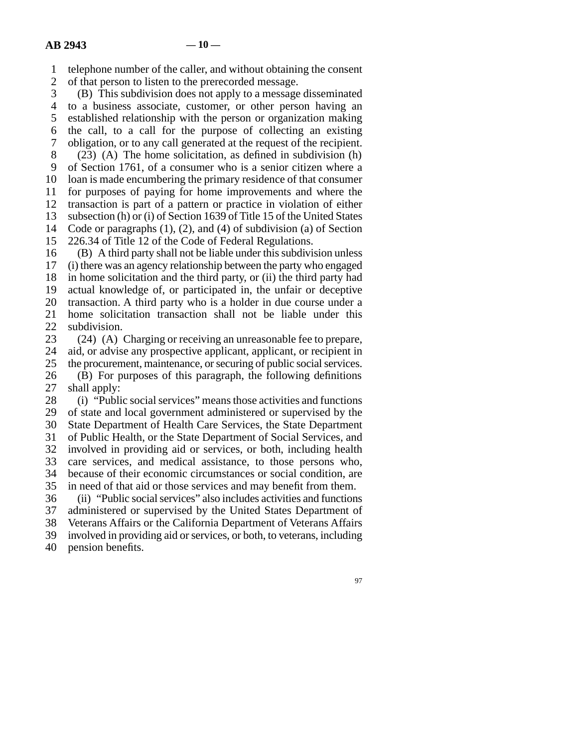- line 1 telephone number of the caller, and without obtaining the consent
- 2 of that person to listen to the prerecorded message.<br>3 (B) This subdivision does not apply to a message

(B) This subdivision does not apply to a message disseminated 4 to a business associate, customer, or other person having an 5 established relationship with the person or organization making line 6 the call, to a call for the purpose of collecting an existing 7 obligation, or to any call generated at the request of the recipient.  $\delta$  (23) (A) The home solicitation, as defined in subdivision (h) 9 of Section 1761, of a consumer who is a senior citizen where a 10 loan is made encumbering the primary residence of that consumer 11 for purposes of paying for home improvements and where the 12 transaction is part of a pattern or practice in violation of either 13 subsection (h) or (i) of Section 1639 of Title 15 of the United States

- 14 Code or paragraphs  $(1)$ ,  $(2)$ , and  $(4)$  of subdivision  $(a)$  of Section
- 15 226.34 of Title 12 of the Code of Federal Regulations.

16 (B) A third party shall not be liable under this subdivision unless 17 (i) there was an agency relationship between the party who engaged

18 in home solicitation and the third party, or (ii) the third party had

19 actual knowledge of, or participated in, the unfair or deceptive

20 transaction. A third party who is a holder in due course under a 21 home solicitation transaction shall not be liable under this 22 subdivision.

23  $(24)$  (A) Charging or receiving an unreasonable fee to prepare,

24 aid, or advise any prospective applicant, applicant, or recipient in 25 the procurement, maintenance, or securing of public social services.

the procurement, maintenance, or securing of public social services.

26 (B) For purposes of this paragraph, the following definitions 27 shall apply: shall apply:

28 (i) "Public social services" means those activities and functions 29 of state and local government administered or supervised by the 30 State Department of Health Care Services, the State Department 31 of Public Health, or the State Department of Social Services, and 32 involved in providing aid or services, or both, including health 33 care services, and medical assistance, to those persons who, 34 because of their economic circumstances or social condition, are 35 in need of that aid or those services and may benefit from them.

 line 36 (ii) "Public social services" also includes activities and functions 37 administered or supervised by the United States Department of

38 Veterans Affairs or the California Department of Veterans Affairs

39 involved in providing aid or services, or both, to veterans, including

40 pension benefits.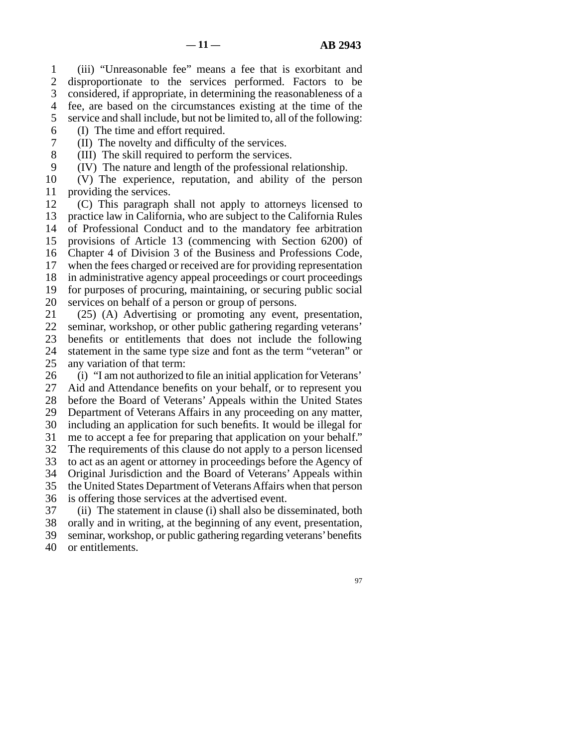line 1 (iii) "Unreasonable fee" means a fee that is exorbitant and 2 disproportionate to the services performed. Factors to be considered, if appropriate, in determining the reasonableness of a considered, if appropriate, in determining the reasonableness of a line 4 fee, are based on the circumstances existing at the time of the 5 service and shall include, but not be limited to, all of the following:

6 (I) The time and effort required.

7 (II) The novelty and difficulty of the services.

8 (III) The skill required to perform the services.

9 (IV) The nature and length of the professional relationship.

10 (V) The experience, reputation, and ability of the person 11 providing the services.

12 (C) This paragraph shall not apply to attorneys licensed to 13 practice law in California, who are subject to the California Rules 14 of Professional Conduct and to the mandatory fee arbitration 15 provisions of Article 13 (commencing with Section 6200) of 16 Chapter 4 of Division 3 of the Business and Professions Code, 17 when the fees charged or received are for providing representation 18 in administrative agency appeal proceedings or court proceedings 19 for purposes of procuring, maintaining, or securing public social 20 services on behalf of a person or group of persons.

21 (25) (A) Advertising or promoting any event, presentation, 22 seminar, workshop, or other public gathering regarding veterans' 23 benefits or entitlements that does not include the following 24 statement in the same type size and font as the term "veteran" or 25 any variation of that term:

any variation of that term:

26 (i) "I am not authorized to file an initial application for Veterans'

27 Aid and Attendance benefits on your behalf, or to represent you

28 before the Board of Veterans' Appeals within the United States

29 Department of Veterans Affairs in any proceeding on any matter,

30 including an application for such benefits. It would be illegal for

31 me to accept a fee for preparing that application on your behalf."

32 The requirements of this clause do not apply to a person licensed

33 to act as an agent or attorney in proceedings before the Agency of

34 Original Jurisdiction and the Board of Veterans' Appeals within 35 the United States Department of Veterans Affairs when that person

36 is offering those services at the advertised event.

37 (ii) The statement in clause (i) shall also be disseminated, both

38 orally and in writing, at the beginning of any event, presentation,

39 seminar, workshop, or public gathering regarding veterans' benefits

40 or entitlements.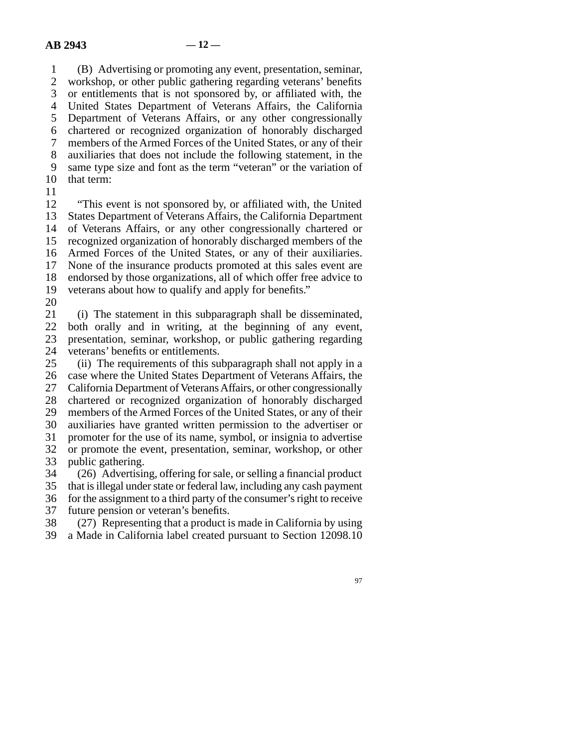line 1 (B) Advertising or promoting any event, presentation, seminar, 2 workshop, or other public gathering regarding veterans' benefits<br>3 or entitlements that is not sponsored by, or affiliated with, the or entitlements that is not sponsored by, or affiliated with, the 4 United States Department of Veterans Affairs, the California 5 Department of Veterans Affairs, or any other congressionally line 6 chartered or recognized organization of honorably discharged 7 members of the Armed Forces of the United States, or any of their 8 auxiliaries that does not include the following statement, in the 9 same type size and font as the term "veteran" or the variation of 10 that term:

 $\frac{11}{12}$ 

"This event is not sponsored by, or affiliated with, the United 13 States Department of Veterans Affairs, the California Department 14 of Veterans Affairs, or any other congressionally chartered or 15 recognized organization of honorably discharged members of the 16 Armed Forces of the United States, or any of their auxiliaries. 17 None of the insurance products promoted at this sales event are 18 endorsed by those organizations, all of which offer free advice to 19 veterans about how to qualify and apply for benefits."

line 20

21 (i) The statement in this subparagraph shall be disseminated, 22 both orally and in writing, at the beginning of any event, 23 presentation, seminar, workshop, or public gathering regarding 24 veterans' benefits or entitlements.<br>25 (ii) The requirements of this su

(ii) The requirements of this subparagraph shall not apply in a 26 case where the United States Department of Veterans Affairs, the 27 California Department of Veterans Affairs, or other congressionally 28 chartered or recognized organization of honorably discharged 29 members of the Armed Forces of the United States, or any of their 30 auxiliaries have granted written permission to the advertiser or 31 promoter for the use of its name, symbol, or insignia to advertise 32 or promote the event, presentation, seminar, workshop, or other 33 public gathering. 34 (26) Advertising, offering for sale, or selling a financial product

35 that is illegal under state or federal law, including any cash payment 36 for the assignment to a third party of the consumer's right to receive

37 future pension or veteran's benefits.

38 (27) Representing that a product is made in California by using

39 a Made in California label created pursuant to Section 12098.10